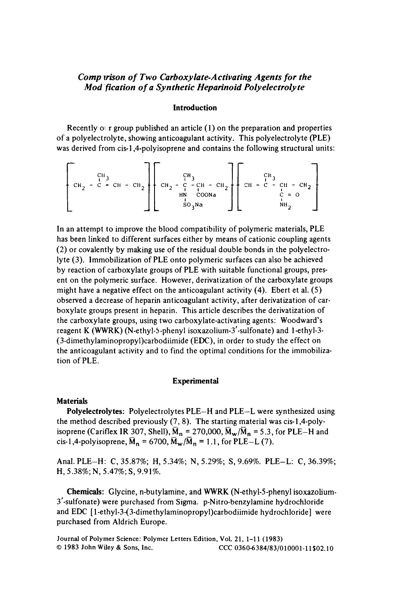# *Comp irison of Two Carboxyiate-Activating Agents for the Mod 'fication* **of** *a Synthetic Heparinoid Poiyeiectrolyte*

## **Introduction**

Recently **01 r** group published an article **(1)** on the preparation and properties of a polyelectrolyte, showing anticoagulant activity. This polyelectrolyte (PLE) was derived from cis-1,4-polyisoprene and contains the following structural units:

CH2 r CII) **I**  *<sup>c</sup>*= **CH** - . c -CH - CII\* **II**  HN **COONa CH** = C - CH - CHZ **NH** 

In an attempt to improve the blood compatibility of polymeric materials, PLE has been linked to different surfaces either by means of cationic coupling agents (2) or covalently by making use of the residual double bonds in the polyelectrolyte (3). Immobilization of PLE onto polymeric surfaces can also be achieved by reaction of carboxylate groups of PLE with suitable functional groups, present on the polymeric surface. However, derivatization of the carboxylate groups might have a negative effect on the anticoagulant activity (4). Ebert et al. **(5)**  observed a decrease of heparin anticoagulant activity, after derivatization of carboxylate groups present in heparin. This article describes the derivatization of the carboxylate groups, using two carboxylate-activating agents: Woodward's reagent K (WWRK) (N-ethyl-5-phenyl **isoxazolium-3'-sulfonate)** and 1 -ethyl-3- **(3-dimethylaminopropyl)carbodiimide** (EDC), in order to study the effect on the anticoagulant activity and to find the optimal conditions for the immobilization of PLE.

### **Experimental**

#### **Materials**

the method described previously (7,8). The starting material was cis-l,4-polyisoprene (Cariflex IR 307, Shell),  $\overline{M}_n = 270,000$ ,  $\overline{M}_w/\overline{M}_n = 5.3$ , for PLE–H and cis-1,4-polyisoprene,  $\bar{M}_n = 6700$ ,  $\bar{M}_w / \bar{M}_n = 1.1$ , for PLE-L (7). **Polyelectrolytes:** Polyelectrolytes PLE-H and PLE-L were synthesized **using** 

Anal. PLE-H: **C,** 35.87%; H, 5.34%; **N,** 5.29%; *S,* 9.69%. PLE-L: C, 36.39%; H, 5.38%; N, 5.47%; **S,** 9.91%.

**Chemicals:** Glycine, n-butylamine, and WWRK (N-ethyl-5-phenyl isoxazolium-3'-sulfonate) were purchased from Sigma. p-Nitro-benzylamine hydrochloride and EDC [ **1-ethyl-3-(3-dimethylaminopropyl)carbodiimide** hydrochloride] were purchased from Aldrich Europe.

**Journal of Polymer Science: Polymer Letters Edition, Vol. 21, 1-1 1 (1983)**  *0* **1983 John Wiley** & **Sons, Inc. CCC** 0360-6384/83/010001-11\$02.10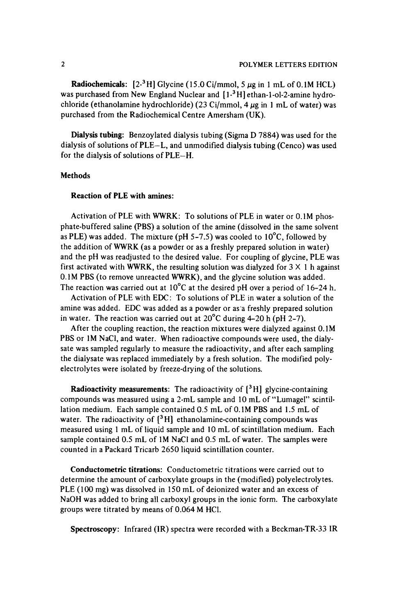**Radiochemicals:**  $[2^{-3}H]$  Glycine (15.0 Ci/mmol, 5  $\mu$ g in 1 mL of 0.1M HCL) was purchased from New England Nuclear and  $[1^{-3}H]$  ethan-1-ol-2-amine hydrochloride (ethanolamine hydrochloride) (23 Ci/mmol, 4 *pg* in **1** mL of water) was purchased from the Radiochemical Centre Amersham (UK).

**Dialysis tubing:** Benzoylated dialysis tubing (Sigma D 7884) was used for the dialysis of solutions of PLE-L, and unmodified dialysis tubing (Cenco) was used for the dialysis of solutions of PLE-H.

## **Methods**

### **Reaction of PLE with mines:**

Activation of PLE with WWRK: To solutions of PLE in water or 0.1M phosphate-buffered saline (PBS) a solution of the amine (dissolved in the same solvent as PLE) was added. The mixture (pH 5-7.5) was cooled to  $10^{\circ}$ C, followed by the addition of WWRK (as a powder or as a freshly prepared solution in water) and the pH was readjusted to the desired value. For coupling of glycine, PLE was first activated with WWRK, the resulting solution was dialyzed for  $3 \times 1$  h against 0.1M PBS (to remove unreacted WWRK), and the glycine solution was added. The reaction was carried out at  $10^{\circ}$ C at the desired pH over a period of 16-24 h.

Activation of PLE with EDC: To solutions of PLE in water a solution of the amine was added. EDC was added as a powder or as'a freshly prepared solution in water. The reaction was carried out at  $20^{\circ}$ C during 4-20 h (pH 2-7).

After the coupling reaction, the reaction mixtures were dialyzed against 0.1M PBS or **IM** NaCl, and water. When radioactive compounds were used, the dialysate was sampled regularly to measure the radioactivity, and after each sampling the dialysate was replaced immediately by a fresh solution. The modified polyelectrolytes were isolated by freeze-drying of the solutions.

**Radioactivity measurements:** The radioactivity of **[3** H] glycine-containing compounds was measured using a 2-mL sample and 10 mL of "Lumagel" scintillation medium. Each sample contained 0.5 mL of 0.1M PBS and 1.5 mL of water. The radioactivity of **[3** H] ethanolamine-containing compounds was measured using 1 mL of liquid sample and **10** mL of scintillation medium. Each sample contained 0.5 mL of 1M NaCl and 0.5 mL of water. The samples were counted in a Packard Tricarb 2650 liquid scintillation counter.

**Conductometric titrations:** Conductometric titrations were carried out to determine the amount of carboxylate groups in the (modified) polyelectrolytes. PLE (100 mg) was dissolved in 150 mL of deionized water and an excess of NaOH was added to bring all carboxyl groups in the ionic form. The carboxylate groups were titrated by means of 0.064 M HCl.

**Spectroscopy:** Infrared (IR) spectra were recorded with a Beckman-TR-33 IR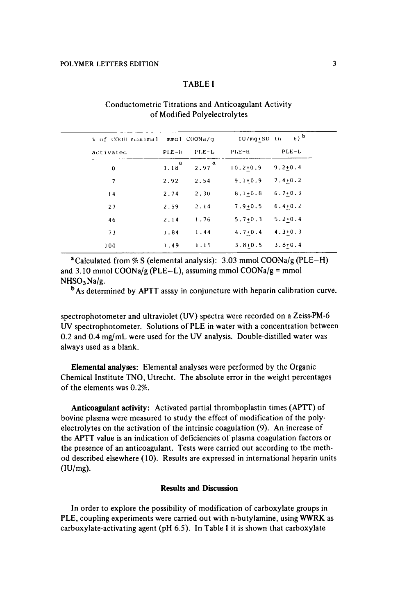## TABLE **<sup>I</sup>**

# Conductometric Titrations and Anticoagulant Activity of Modified Polyelectrolytes

| % of COOH maximal mmol COONa/g |            |                     | $6)$ b<br>$IU/mq+SD$ (n) |             |  |
|--------------------------------|------------|---------------------|--------------------------|-------------|--|
| activated                      | $PLE-II$   | $PLE-L$             | $PI.E-H$                 | $PLE-L$     |  |
| 0                              | $3.18^{8}$ | $2.97$ <sup>a</sup> | $10.2 + 0.9$             | $9.2 + 0.4$ |  |
| 7                              | 2.92       | 2.54                | $9.1 + 0.9$              | $7.4 + 0.2$ |  |
| 14                             | 2.74       | 2.30                | $8.1 + 0.8$              | $6.7 + 0.3$ |  |
| 27                             | 2.59       | 2.14                | $7.9 + 0.5$              | $6.4 + 0.2$ |  |
| 46                             | 2.14       | 1.76                | $5.7 + 0.3$              | $5.2 + 0.4$ |  |
| 73                             | 1.84       | 1.44                | $4.7 + 0.4$              | $4.3 + 0.3$ |  |
| 100                            | 1.49       | 1.15                | $3.8 + 0.5$              | $3.8 + 0.4$ |  |

aCalculated from *5% S* (elemental analysis): **3.03** mmol COONa/g (PLE-H) and 3.10 mmol COONa/g (PLE-L), assuming mmol COONa/g = mmol  $NHSO<sub>3</sub>Na/g.$ 

<sup>b</sup>As determined by APTT assay in conjuncture with heparin calibration curve.

spectrophotometer and ultraviolet (W) spectra were recorded on a Zeiss-PM-6 W spectrophotometer. Solutions of PLE in water with a concentration between 0.2 and **0.4** mg/mL were used for the UV analysis. Double-distilled water was always used as a blank.

**Elemental analyses:** Elemental analyses were performed by the Organic Chemical Institute TNO, Utrecht. The absolute error in the weight percentages of the elements was 0.2%.

**Anticoagulant activity:** Activated partial thromboplastin times (APTT) of bovine plasma were measured to study the effect of modification of the polyelectrolytes on the activation of the intrinsic coagulation **(9).** An increase of the *APTT* value **is** an indication of deficiencies of plasma coagulation factors or the presence of an anticoagulant. Tests were carried out according to the method described elsewhere (10). Results are expressed in international heparin units  $(IU/mg)$ .

# **Results and Discussion**

In order to explore the possibility of modification of carboxylate groups in PLE, coupling experiments were carried out with n-butylamine, using **WWRK** as carboxylate-activating agent **(pH** 6.5). In Table **I** it is shown that carboxylate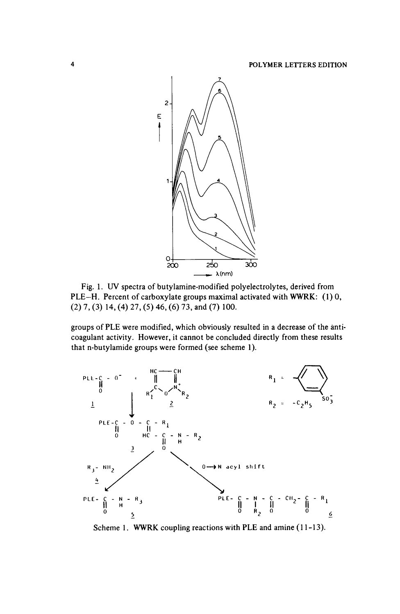

PLE-H. Percent of carboxylate groups maximal activated with WWRK: **(1)** 0, **(2) 7, (3)** 14, (4) **27, (5) 46,** *(6)* **73,** and **(7) 100.** 

groups of PLE were modified, which obviously resulted in a decrease of the anticoagulant activity. However, it cannot be concluded directly from these results that n-butylamide groups were formed (see scheme **1).** 



Scheme 1. WWRK coupling reactions with PLE and amine (11-13).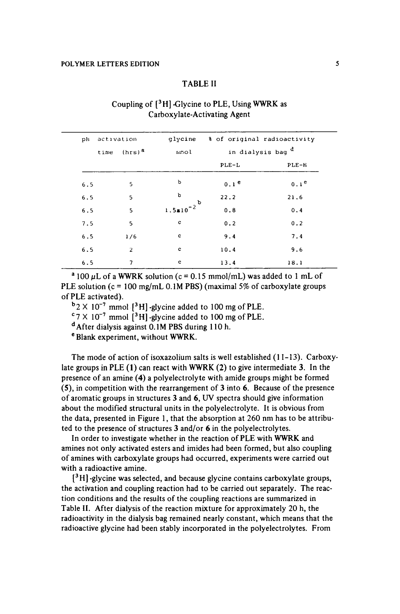## TABLE I1

| ilq | activation |                          | glycine              | % of original radioactivity  |                  |  |  |
|-----|------------|--------------------------|----------------------|------------------------------|------------------|--|--|
|     | time       | $(hrs)^a$                | mmo1                 | in dialysis bag <sup>d</sup> |                  |  |  |
|     |            |                          |                      | $PLE-L$                      | $PLE-H$          |  |  |
| 6.5 |            | 5                        | Ъ                    | 0.1 <sup>e</sup>             | 0.1 <sup>e</sup> |  |  |
| 6.5 |            | 5                        | р                    | 22.2                         | 21.6             |  |  |
| 6.5 |            | 5                        | $1.5 \times 10^{-2}$ | 0.8                          | 0.4              |  |  |
| 7.5 |            | 5                        | $\mathbf c$          | 0.2                          | 0.2              |  |  |
| 6.5 |            | 1/6                      | $\mathbf c$          | 9.4                          | 7.4              |  |  |
| 6.5 |            | $\overline{2}$           | c                    | 10.4                         | 9.6              |  |  |
| 6.5 |            | $\overline{\phantom{a}}$ | c                    | 13.4                         | 18.1             |  |  |

# Coupling of **[3H]** Glycine to PLE, Using WWRK as Carboxylate-Activating Agent

<sup>a</sup> 100  $\mu$ L of a WWRK solution (c = 0.15 mmol/mL) was added to 1 mL of PLE solution ( $c = 100$  mg/mL 0.1M PBS) (maximal 5% of carboxylate groups of PLE activated).

 $b_2 \times 10^{-7}$  mmol  $[3H]$  -glycine added to 100 mg of PLE.

 $^{\circ}$ 7 X 10<sup>-7</sup> mmol [<sup>3</sup>H] -glycine added to 100 mg of PLE.

dAfter dialysis against **0.1M** PBS during **1** 10 h.

Blank experiment, without WWRK.

The mode of action of isoxazolium salts **is** well established **(1** 1-13). Carboxylate groups in PLE **(1)** can react with **WWRK (2)** to give intermediate **3.** In the presence of an amine **(4)** a polyelectrolyte with amide groups might be formed **(S),** in competition with the rearrangement of **3** into *6.* Because of the presence of aromatic groups in structures **3** and *6,* W spectra should give information about the modified structural units in the polyelectrolyte. It is obvious from the data, presented in Figure 1, that the absorption at 260 nm has to be attributed to the presence of structures **3** and/or *6* in the polyelectrolytes.

In order to investigate whether in the reaction of PLE with WWRK and amines not only activated esters and imides had been formed, but also coupling of amines with carboxylate groups had occurred, experiments were carried out with a radioactive amine.

[ **H]** -glycine was selected, and because glycine contains carboxylate groups, the activation and coupling reaction had to be carried out separately. The reaction conditions and the results of the coupling reactions are summarized in Table **11.** After dialysis of the reaction mixture for approximately **20** h, the radioactivity in the dialysis bag remained nearly constant, which means that the radioactive glycine had been stably incorporated in the polyelectrolytes. From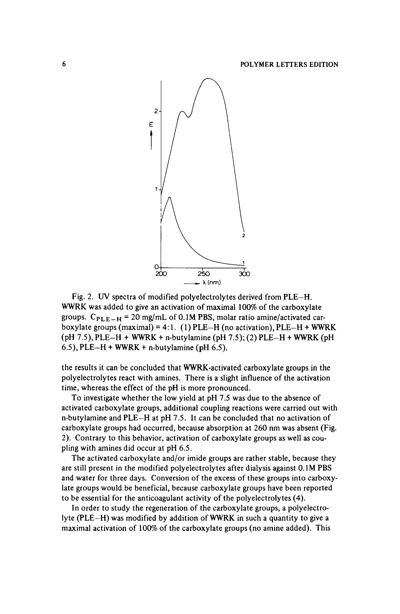

Fig. 2. *UV* spectra of modified polyelectrolytes derived from PLE-H. WWRK was added to give an activation of maximal 100% of the carboxylate groups.  $C_{PLE-H}$  = 20 mg/mL of 0.1M PBS, molar ratio amine/activated carboxylate groups (maximal) = **4: 1.** (1) PLE-H (no activation), PLE-H + WWRK (pH 7.5), PLE-H + WWRK **t** n-butylamine (pH 7.5); (2) PLE-H **t** WWRK (pH *6.5),* PLE-H + WWRK + n-butylamine (pH *6.5).* 

the results it can be concluded that WWRK-activated carboxylate groups in the polyelectrolytes react with amines. There is a slight influence of the activation time, whereas the effect of the pH is more pronounced.

To investigate whether the low yield at pH 7.5 was due to the absence of activated carboxylate groups, additional coupling reactions were carried out with n-butylamine and PLE-H at pH 7.5. It can be concluded that no activation of carboxylate groups had occurred, because absorption at 260 nm was absent (Fig. 2). Contrary to this behavior, activation of carboxylate groups **as** well as coupling with amines did occur at pH 6.5.

The activated carboxylate and/or imide groups are rather stable, because they are still present in the modified polyelectrolytes after dialysis against **0.1M** PBS and water for three days. Conversion of the excess of these groups into carboxylate groups would be beneficial, because carboxylate groups have been reported to be essential for the anticoagulant activity of the polyelectrolytes **(4).** 

In order to study the regeneration of the carboxylate groups, a polyelectrolyte (PLE-H) was modified by addition of WWRK in such a quantity to give a maximal activation of **100%** of the carboxylate groups (no amine added). This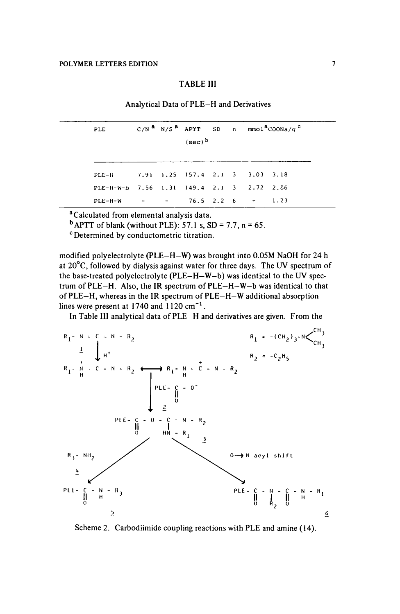## TABLE I11

Analytical Data of PLE-H and Derivatives

| PLE                                       |  |                                 |  | $C/N^a$ N/S <sup>2</sup> APTT SD n mmol <sup>8</sup> COONa/q <sup>C</sup> |
|-------------------------------------------|--|---------------------------------|--|---------------------------------------------------------------------------|
|                                           |  | $(sec)^b$                       |  |                                                                           |
|                                           |  |                                 |  |                                                                           |
| $PLE-Ii$                                  |  | 7.91 1.25 157.4 2.1 3 3.03 3.18 |  |                                                                           |
| PLE-H-W-b 7.56 1.31 149.4 2.1 3 2.72 2.86 |  |                                 |  |                                                                           |
| $PLE-H-W$                                 |  | $- - - 76.5$ 2.2 6 $- 1.23$     |  |                                                                           |

**<sup>a</sup>**Calculated from elemental analysis data.

 $^{b}$  APTT of blank (without PLE): 57.1 s, SD = 7.7, n = 65.

Determined by conductometric titration.

modified polyelectrolyte (PLE-H-W) was brought into **0.05M** NaOH for **24** h at  $20^{\circ}$ C, followed by dialysis against water for three days. The UV spectrum of the base-treated polyelectrolyte ( $PLE-H-W-b$ ) was identical to the UV spectrum of PLE-H. Also, the IK spectrum of PLE-H-W-b was identical to that of PLE-H, whereas in the 1R spectrum of PLE-H-W additional absorption lines were present at **1740** and 1120 cm-' .

In Table I11 analytical data of PLE-H and derivatives are given. From the



Scheme 2. Carbodiimide coupling reactions with PLE and amine (14).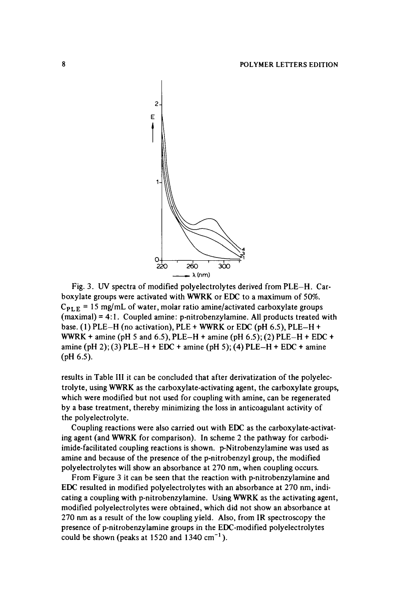

Fig. **3.** W spectra of modified polyelectrolytes derived from PLE-H. Carboxylate groups were activated with **WWRK** or EDC to a maximum of *50%.*   $C_{\text{PI E}} = 15$  mg/mL of water, molar ratio amine/activated carboxylate groups (maximal) = **4:** 1. Coupled amine: p-nitrobenzylamine. All products treated with base. **(1)** PLE-H (no activation), PLE + **WWRK** or EDC (pH *6.5),* PLE-H + **WWRK** + amine (pH 5 and 6.5), PLE-H + amine (pH 6.5); (2) PLE-H + EDC + amine (pH 2); **(3)** PLE-H + EDC + amine (pH 5); **(4)** PLE-H + EDC + amine (pH 6.5).

results in Table **Ill** it can be concluded that after derivatization of the polyelectrolyte, using **WWRK** as the carboxylate-activating agent, the carboxylate groups, which were modified but not used for coupling with amine, can be regenerated by a base treatment, thereby minimizing the loss in anticoagulant activity of the polyelectrolyte.

ing agent (and WWRK for comparison). In scheme 2 the pathway for carbodiimide-facilitated coupling reactions is shown. p-Nitrobenzylamine was used as amine and because of the presence of the p-nitrobenzyl group, the modified polyelectrolytes will show an absorbance at 270 nm, when coupling occurs. Coupling reactions were also carried out with EDC as the carboxylate-activat-

From Figure 3 it can be seen that the reaction with p-nitrobenzylamine and EDC resulted in modified polyelectrolytes with an absorbance at 270 nm, indicating a coupling with p-nitrobenzylamine. Using **WWRK** as the activating agent, modified polyelectrolytes were obtained, which did not show an absorbance at 270 **nm** as a result of the low coupling yield. Also, from **IR** spectroscopy the presence of p-nitrobenzylamine groups in the EDC-modified polyelectrolytes could be shown (peaks at 1520 and **1340** cm-' ).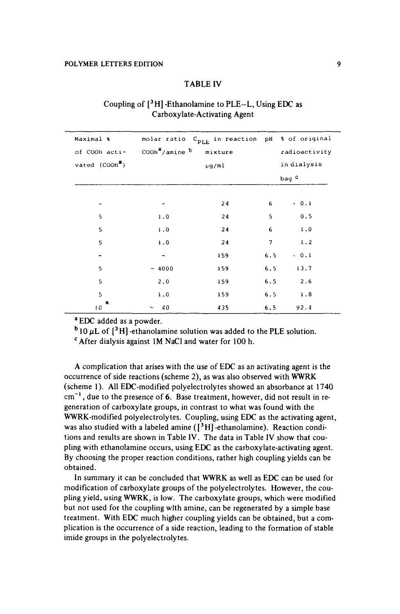### TABLE **IV**

| Maximal %                  |                                        | molar ratio C <sub>PLE</sub> in reaction pH % of original |                  |               |  |
|----------------------------|----------------------------------------|-----------------------------------------------------------|------------------|---------------|--|
| of COOH acti-              | COOh <sup>''</sup> /amine <sup>b</sup> | mixture                                                   |                  | radioactivity |  |
| vated (COOH <sup>2</sup> ) |                                        |                                                           | in dialysis      |               |  |
|                            |                                        |                                                           | bag <sup>c</sup> |               |  |
|                            |                                        |                                                           |                  |               |  |
|                            |                                        | 24                                                        | 6                | 0.1           |  |
| 5                          | 1.0                                    | 24                                                        | 5                | 0.5           |  |
| 5                          | 1.0                                    | 24                                                        | 6                | 1.0           |  |
| 5                          | 1.0                                    | 24                                                        | 7                | 1.2           |  |
|                            |                                        | 159                                                       | 6.5              | 0.1           |  |
| 5                          | ~1000                                  | 159                                                       | 6.5              | 13.7          |  |
| 5                          | 2.0                                    | 159                                                       | 6.5              | 2.6           |  |
| 5                          | 1.0                                    | 159                                                       | 6.5              | 1.8           |  |
| а<br>10                    | 40<br>$\tilde{\phantom{a}}$            | 435                                                       | 6.5              | 92.4          |  |

# Coupling of **[3H]** -Ethanolamine to PLE-L, Using EDC as Carboxylate-Activating Agent

**<sup>a</sup>**EDC added as a powder.

 $b_{10 \mu L}$  of  $[^3H]$ -ethanolamine solution was added to the PLE solution.

After dialysis against 1M NaCl and water for 100 h.

A complication that arises with the use of **EDC** as an activating agent is the occurrence of side reactions (scheme *2),* as was also observed with WWRK (scheme 1). All EDC-modified polyelectrolytes showed an absorbance at 1740 cm-' , due *to* the presence of *6.* Base treatment, however, did not result in **re**generation of carboxylate groups, in contrast to what was found with the WWRK-modified polyelectrolytes. Coupling, using EDC as the activating agent, was also studied with a labeled amine ( $[^3H]$ -ethanolamine). Reaction conditions and results are shown in Table **IV.** The data in Table **IV** show that coupling with ethanolamine occurs, using EDC as the carboxylate-activating agent. By choosing the proper reaction conditions, rather high coupling yields can be obtained.

In summary it can be concluded that WWRK as well as EDC can be used for modification of carboxylate groups of the polyelectrolytes. However, the coupling yield, using **WWRK,** is low. The carboxylate groups, which were modified but not used for the coupling wlth amine, can be regenerated by a simple base treatment. With EDC much higher coupling yields can be obtained, but a complication is the occurrence **of** a side reaction, leading to the formation of stable imide groups in the polyelectrolytes.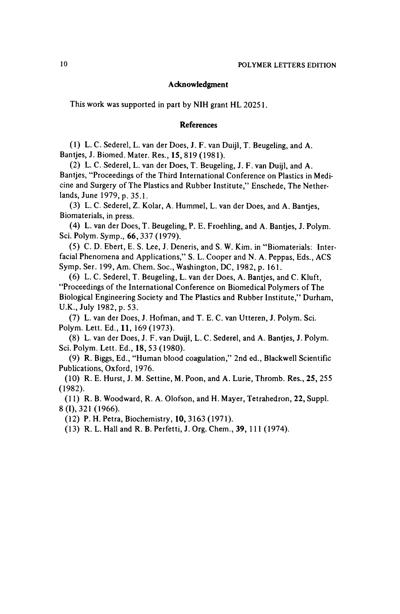#### A cknowledgment

This work was supported in part by NIH grant HL **2025 <sup>1</sup>**

#### References

**(1)** L. C. Sederel, L. van der Does, J. F. van Duijl, T. Beugeling, and A. Bantjes, J. Biomed. Mater. Res., **15,819 (1981).** 

**(2)** L. C. Sederel, L. van der Does, T. Beugeling, J. F. van Duijl, and A. Bantjes, "Proceedings of the Third International Conference on Plastics in Medicine and Surgery of The Plastics and Rubber Institute,'' Enschede, The Netherlands, June **1979,** p. **35.1.** 

**(3)** L. C. Sederel, Z. Kolar, A. Hummel, L. van der Does, and A. Bantjes, Biomaterials, in press.

**(4)** L. van der Does, T. Beugeling, P. E. Froehling, and A. Bantjes, J. Polym. Sci. Polym. Symp., **66,337 (1979).** 

(5) C. D. Ebert, E. S. Lee, J. Deneris, and S. W. Kim. in "Biomaterials: Interfacial Phenomena and Applications," S. L. Cooper and N. A. Peppas, Eds., ACS Symp. Ser. **199,Am.** Chem. SOC., Washington, DC, **1982,** p. **161.** 

**(6)** L. C. Sederel, T. Beugeling, L. van der Does, A. Bantjes, and C. Kluft, "Proceedings of the International Conference on Biomedical Polymers of The Biological Engineering Society and The Plastics and Rubber Institute," Durham, U.K., July **1982,** p. **53.** 

Polym. Lett. Ed., **11, 169(1973). (7)** L. van der Does, J. Hofman, and T. E. C. van Utteren, J. Polym. Sci.

Sci. Polym. Lett. Ed., **18,53 (1980).**  (8) L. van der Does, J. F. van Duijl, L. C. Sederel, and A. Bantjes, J. Polym.

Publications, Oxford, **1976. (9)** R. Biggs, Ed., "Human blood coagulation," 2nd ed., Blackwell Scientific

**(1982). (10)** R. E. Hurst, J. M. Settine, M. Poon, and A. Lurie, Thromb. Res., **25,255** 

**8 (I), 321 (1966). (1 1)** R. B. Woodward, R. A. Olofson, and H. Mayer, Tetrahedron, **22,** Suppl.

**(12)** P. H. Petra, Biochemistry, **10,3163 (1971).** 

**(13)** R. L. Hall and R. B. Perfetti, J. Org. Chem., 39, **11 1 (1974).**